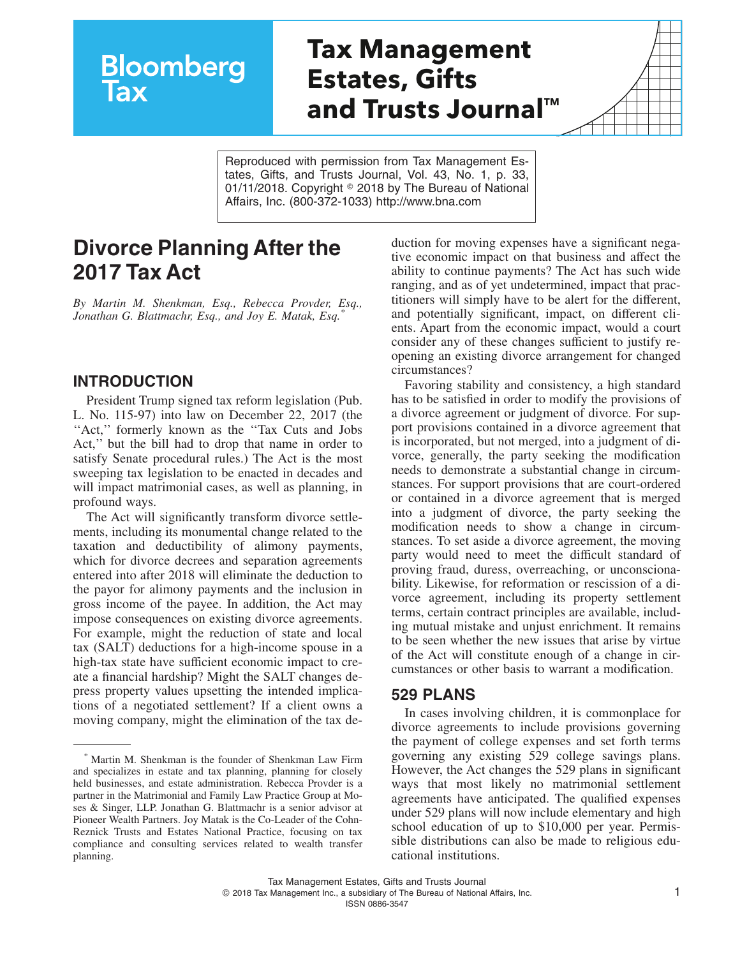# **Tax Management Estates, Gifts and Trusts Journal™**

Reproduced with permission from Tax Management Estates, Gifts, and Trusts Journal, Vol. 43, No. 1, p. 33, 01/11/2018. Copyright © 2018 by The Bureau of National Affairs, Inc. (800-372-1033) http://www.bna.com

## **Divorce Planning After the 2017 Tax Act**

**Bloomberg** 

lax

*By Martin M. Shenkman, Esq., Rebecca Provder, Esq., Jonathan G. Blattmachr, Esq., and Joy E. Matak, Esq.\**

#### **INTRODUCTION**

President Trump signed tax reform legislation (Pub. L. No. 115-97) into law on December 22, 2017 (the "Act," formerly known as the "Tax Cuts and Jobs" Act,'' but the bill had to drop that name in order to satisfy Senate procedural rules.) The Act is the most sweeping tax legislation to be enacted in decades and will impact matrimonial cases, as well as planning, in profound ways.

The Act will significantly transform divorce settlements, including its monumental change related to the taxation and deductibility of alimony payments, which for divorce decrees and separation agreements entered into after 2018 will eliminate the deduction to the payor for alimony payments and the inclusion in gross income of the payee. In addition, the Act may impose consequences on existing divorce agreements. For example, might the reduction of state and local tax (SALT) deductions for a high-income spouse in a high-tax state have sufficient economic impact to create a financial hardship? Might the SALT changes depress property values upsetting the intended implications of a negotiated settlement? If a client owns a moving company, might the elimination of the tax deduction for moving expenses have a significant negative economic impact on that business and affect the ability to continue payments? The Act has such wide ranging, and as of yet undetermined, impact that practitioners will simply have to be alert for the different, and potentially significant, impact, on different clients. Apart from the economic impact, would a court consider any of these changes sufficient to justify reopening an existing divorce arrangement for changed circumstances?

Favoring stability and consistency, a high standard has to be satisfied in order to modify the provisions of a divorce agreement or judgment of divorce. For support provisions contained in a divorce agreement that is incorporated, but not merged, into a judgment of divorce, generally, the party seeking the modification needs to demonstrate a substantial change in circumstances. For support provisions that are court-ordered or contained in a divorce agreement that is merged into a judgment of divorce, the party seeking the modification needs to show a change in circumstances. To set aside a divorce agreement, the moving party would need to meet the difficult standard of proving fraud, duress, overreaching, or unconscionability. Likewise, for reformation or rescission of a divorce agreement, including its property settlement terms, certain contract principles are available, including mutual mistake and unjust enrichment. It remains to be seen whether the new issues that arise by virtue of the Act will constitute enough of a change in circumstances or other basis to warrant a modification.

#### **529 PLANS**

In cases involving children, it is commonplace for divorce agreements to include provisions governing the payment of college expenses and set forth terms governing any existing 529 college savings plans. However, the Act changes the 529 plans in significant ways that most likely no matrimonial settlement agreements have anticipated. The qualified expenses under 529 plans will now include elementary and high school education of up to \$10,000 per year. Permissible distributions can also be made to religious educational institutions.

<sup>\*</sup> Martin M. Shenkman is the founder of Shenkman Law Firm and specializes in estate and tax planning, planning for closely held businesses, and estate administration. Rebecca Provder is a partner in the Matrimonial and Family Law Practice Group at Moses & Singer, LLP. Jonathan G. Blattmachr is a senior advisor at Pioneer Wealth Partners. Joy Matak is the Co-Leader of the Cohn-Reznick Trusts and Estates National Practice, focusing on tax compliance and consulting services related to wealth transfer planning.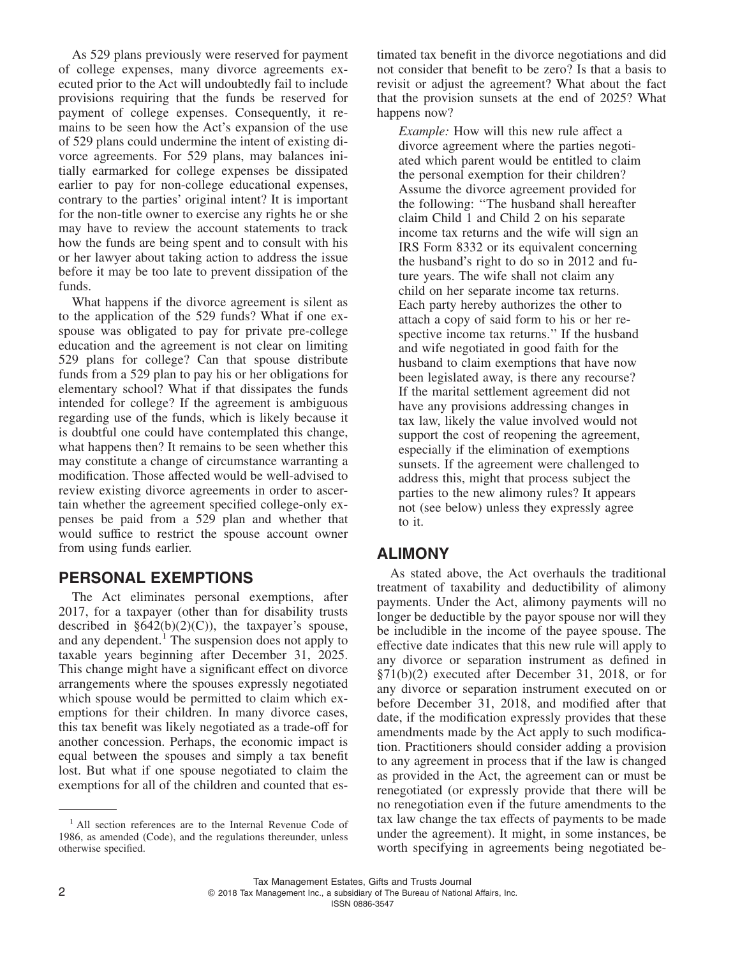As 529 plans previously were reserved for payment of college expenses, many divorce agreements executed prior to the Act will undoubtedly fail to include provisions requiring that the funds be reserved for payment of college expenses. Consequently, it remains to be seen how the Act's expansion of the use of 529 plans could undermine the intent of existing divorce agreements. For 529 plans, may balances initially earmarked for college expenses be dissipated earlier to pay for non-college educational expenses, contrary to the parties' original intent? It is important for the non-title owner to exercise any rights he or she may have to review the account statements to track how the funds are being spent and to consult with his or her lawyer about taking action to address the issue before it may be too late to prevent dissipation of the funds.

What happens if the divorce agreement is silent as to the application of the 529 funds? What if one exspouse was obligated to pay for private pre-college education and the agreement is not clear on limiting 529 plans for college? Can that spouse distribute funds from a 529 plan to pay his or her obligations for elementary school? What if that dissipates the funds intended for college? If the agreement is ambiguous regarding use of the funds, which is likely because it is doubtful one could have contemplated this change, what happens then? It remains to be seen whether this may constitute a change of circumstance warranting a modification. Those affected would be well-advised to review existing divorce agreements in order to ascertain whether the agreement specified college-only expenses be paid from a 529 plan and whether that would suffice to restrict the spouse account owner from using funds earlier.

#### **PERSONAL EXEMPTIONS**

The Act eliminates personal exemptions, after 2017, for a taxpayer (other than for disability trusts described in  $§642(b)(2)(C)$ , the taxpayer's spouse, and any dependent.<sup>1</sup> The suspension does not apply to taxable years beginning after December 31, 2025. This change might have a significant effect on divorce arrangements where the spouses expressly negotiated which spouse would be permitted to claim which exemptions for their children. In many divorce cases, this tax benefit was likely negotiated as a trade-off for another concession. Perhaps, the economic impact is equal between the spouses and simply a tax benefit lost. But what if one spouse negotiated to claim the exemptions for all of the children and counted that estimated tax benefit in the divorce negotiations and did not consider that benefit to be zero? Is that a basis to revisit or adjust the agreement? What about the fact that the provision sunsets at the end of 2025? What happens now?

*Example:* How will this new rule affect a divorce agreement where the parties negotiated which parent would be entitled to claim the personal exemption for their children? Assume the divorce agreement provided for the following: ''The husband shall hereafter claim Child 1 and Child 2 on his separate income tax returns and the wife will sign an IRS Form 8332 or its equivalent concerning the husband's right to do so in 2012 and future years. The wife shall not claim any child on her separate income tax returns. Each party hereby authorizes the other to attach a copy of said form to his or her respective income tax returns.'' If the husband and wife negotiated in good faith for the husband to claim exemptions that have now been legislated away, is there any recourse? If the marital settlement agreement did not have any provisions addressing changes in tax law, likely the value involved would not support the cost of reopening the agreement, especially if the elimination of exemptions sunsets. If the agreement were challenged to address this, might that process subject the parties to the new alimony rules? It appears not (see below) unless they expressly agree to it.

#### **ALIMONY**

As stated above, the Act overhauls the traditional treatment of taxability and deductibility of alimony payments. Under the Act, alimony payments will no longer be deductible by the payor spouse nor will they be includible in the income of the payee spouse. The effective date indicates that this new rule will apply to any divorce or separation instrument as defined in §71(b)(2) executed after December 31, 2018, or for any divorce or separation instrument executed on or before December 31, 2018, and modified after that date, if the modification expressly provides that these amendments made by the Act apply to such modification. Practitioners should consider adding a provision to any agreement in process that if the law is changed as provided in the Act, the agreement can or must be renegotiated (or expressly provide that there will be no renegotiation even if the future amendments to the tax law change the tax effects of payments to be made under the agreement). It might, in some instances, be worth specifying in agreements being negotiated be-

<sup>&</sup>lt;sup>1</sup> All section references are to the Internal Revenue Code of 1986, as amended (Code), and the regulations thereunder, unless otherwise specified.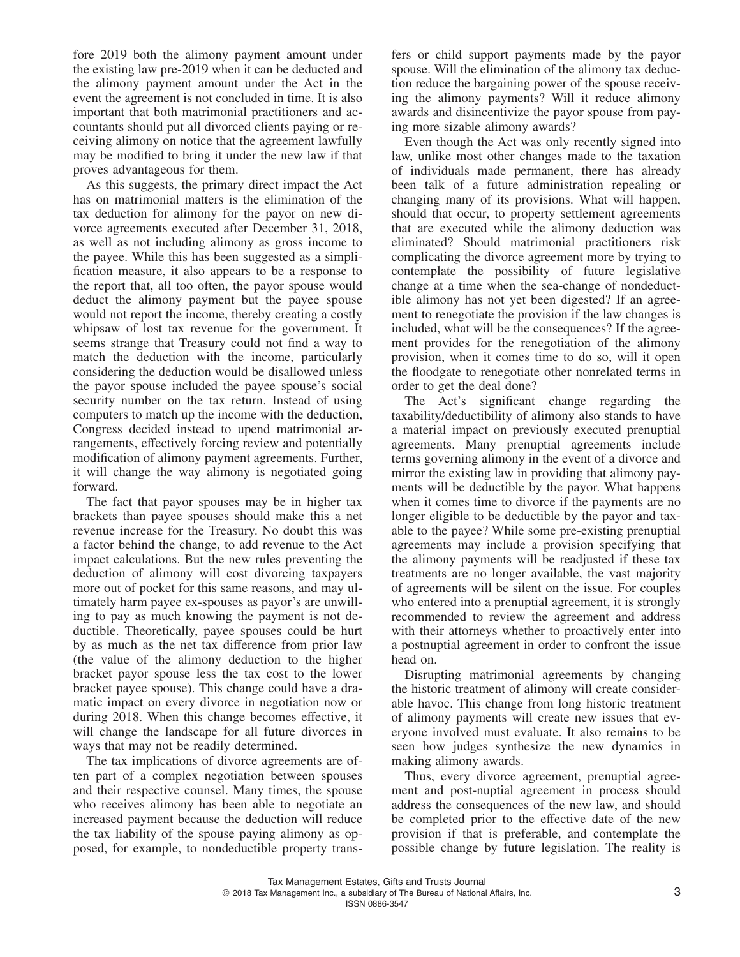fore 2019 both the alimony payment amount under the existing law pre-2019 when it can be deducted and the alimony payment amount under the Act in the event the agreement is not concluded in time. It is also important that both matrimonial practitioners and accountants should put all divorced clients paying or receiving alimony on notice that the agreement lawfully may be modified to bring it under the new law if that proves advantageous for them.

As this suggests, the primary direct impact the Act has on matrimonial matters is the elimination of the tax deduction for alimony for the payor on new divorce agreements executed after December 31, 2018, as well as not including alimony as gross income to the payee. While this has been suggested as a simplification measure, it also appears to be a response to the report that, all too often, the payor spouse would deduct the alimony payment but the payee spouse would not report the income, thereby creating a costly whipsaw of lost tax revenue for the government. It seems strange that Treasury could not find a way to match the deduction with the income, particularly considering the deduction would be disallowed unless the payor spouse included the payee spouse's social security number on the tax return. Instead of using computers to match up the income with the deduction, Congress decided instead to upend matrimonial arrangements, effectively forcing review and potentially modification of alimony payment agreements. Further, it will change the way alimony is negotiated going forward.

The fact that payor spouses may be in higher tax brackets than payee spouses should make this a net revenue increase for the Treasury. No doubt this was a factor behind the change, to add revenue to the Act impact calculations. But the new rules preventing the deduction of alimony will cost divorcing taxpayers more out of pocket for this same reasons, and may ultimately harm payee ex-spouses as payor's are unwilling to pay as much knowing the payment is not deductible. Theoretically, payee spouses could be hurt by as much as the net tax difference from prior law (the value of the alimony deduction to the higher bracket payor spouse less the tax cost to the lower bracket payee spouse). This change could have a dramatic impact on every divorce in negotiation now or during 2018. When this change becomes effective, it will change the landscape for all future divorces in ways that may not be readily determined.

The tax implications of divorce agreements are often part of a complex negotiation between spouses and their respective counsel. Many times, the spouse who receives alimony has been able to negotiate an increased payment because the deduction will reduce the tax liability of the spouse paying alimony as opposed, for example, to nondeductible property trans-

fers or child support payments made by the payor spouse. Will the elimination of the alimony tax deduction reduce the bargaining power of the spouse receiving the alimony payments? Will it reduce alimony awards and disincentivize the payor spouse from paying more sizable alimony awards?

Even though the Act was only recently signed into law, unlike most other changes made to the taxation of individuals made permanent, there has already been talk of a future administration repealing or changing many of its provisions. What will happen, should that occur, to property settlement agreements that are executed while the alimony deduction was eliminated? Should matrimonial practitioners risk complicating the divorce agreement more by trying to contemplate the possibility of future legislative change at a time when the sea-change of nondeductible alimony has not yet been digested? If an agreement to renegotiate the provision if the law changes is included, what will be the consequences? If the agreement provides for the renegotiation of the alimony provision, when it comes time to do so, will it open the floodgate to renegotiate other nonrelated terms in order to get the deal done?

The Act's significant change regarding the taxability/deductibility of alimony also stands to have a material impact on previously executed prenuptial agreements. Many prenuptial agreements include terms governing alimony in the event of a divorce and mirror the existing law in providing that alimony payments will be deductible by the payor. What happens when it comes time to divorce if the payments are no longer eligible to be deductible by the payor and taxable to the payee? While some pre-existing prenuptial agreements may include a provision specifying that the alimony payments will be readjusted if these tax treatments are no longer available, the vast majority of agreements will be silent on the issue. For couples who entered into a prenuptial agreement, it is strongly recommended to review the agreement and address with their attorneys whether to proactively enter into a postnuptial agreement in order to confront the issue head on.

Disrupting matrimonial agreements by changing the historic treatment of alimony will create considerable havoc. This change from long historic treatment of alimony payments will create new issues that everyone involved must evaluate. It also remains to be seen how judges synthesize the new dynamics in making alimony awards.

Thus, every divorce agreement, prenuptial agreement and post-nuptial agreement in process should address the consequences of the new law, and should be completed prior to the effective date of the new provision if that is preferable, and contemplate the possible change by future legislation. The reality is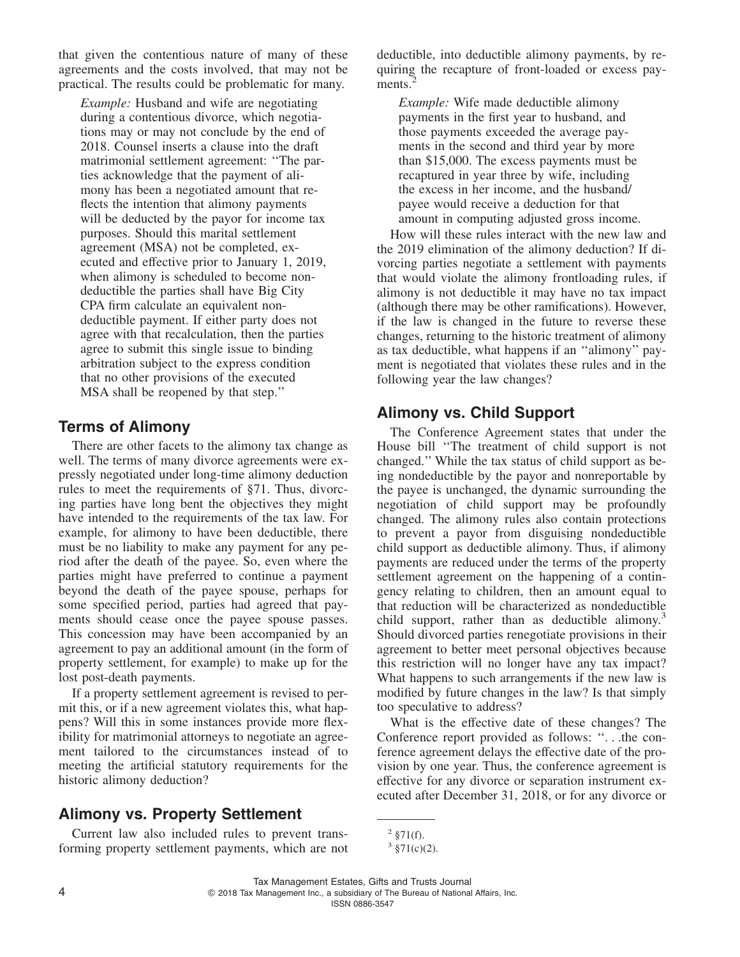that given the contentious nature of many of these agreements and the costs involved, that may not be practical. The results could be problematic for many.

*Example:* Husband and wife are negotiating during a contentious divorce, which negotiations may or may not conclude by the end of 2018. Counsel inserts a clause into the draft matrimonial settlement agreement: ''The parties acknowledge that the payment of alimony has been a negotiated amount that reflects the intention that alimony payments will be deducted by the payor for income tax purposes. Should this marital settlement agreement (MSA) not be completed, executed and effective prior to January 1, 2019, when alimony is scheduled to become nondeductible the parties shall have Big City CPA firm calculate an equivalent nondeductible payment. If either party does not agree with that recalculation, then the parties agree to submit this single issue to binding arbitration subject to the express condition that no other provisions of the executed MSA shall be reopened by that step.''

#### **Terms of Alimony**

There are other facets to the alimony tax change as well. The terms of many divorce agreements were expressly negotiated under long-time alimony deduction rules to meet the requirements of §71. Thus, divorcing parties have long bent the objectives they might have intended to the requirements of the tax law. For example, for alimony to have been deductible, there must be no liability to make any payment for any period after the death of the payee. So, even where the parties might have preferred to continue a payment beyond the death of the payee spouse, perhaps for some specified period, parties had agreed that payments should cease once the payee spouse passes. This concession may have been accompanied by an agreement to pay an additional amount (in the form of property settlement, for example) to make up for the lost post-death payments.

If a property settlement agreement is revised to permit this, or if a new agreement violates this, what happens? Will this in some instances provide more flexibility for matrimonial attorneys to negotiate an agreement tailored to the circumstances instead of to meeting the artificial statutory requirements for the historic alimony deduction?

#### **Alimony vs. Property Settlement**

Current law also included rules to prevent transforming property settlement payments, which are not deductible, into deductible alimony payments, by requiring the recapture of front-loaded or excess payments.<sup>2</sup>

*Example:* Wife made deductible alimony payments in the first year to husband, and those payments exceeded the average payments in the second and third year by more than \$15,000. The excess payments must be recaptured in year three by wife, including the excess in her income, and the husband/ payee would receive a deduction for that amount in computing adjusted gross income.

How will these rules interact with the new law and the 2019 elimination of the alimony deduction? If divorcing parties negotiate a settlement with payments that would violate the alimony frontloading rules, if alimony is not deductible it may have no tax impact (although there may be other ramifications). However, if the law is changed in the future to reverse these changes, returning to the historic treatment of alimony as tax deductible, what happens if an ''alimony'' payment is negotiated that violates these rules and in the following year the law changes?

#### **Alimony vs. Child Support**

The Conference Agreement states that under the House bill ''The treatment of child support is not changed.'' While the tax status of child support as being nondeductible by the payor and nonreportable by the payee is unchanged, the dynamic surrounding the negotiation of child support may be profoundly changed. The alimony rules also contain protections to prevent a payor from disguising nondeductible child support as deductible alimony. Thus, if alimony payments are reduced under the terms of the property settlement agreement on the happening of a contingency relating to children, then an amount equal to that reduction will be characterized as nondeductible child support, rather than as deductible alimony.<sup>3</sup> Should divorced parties renegotiate provisions in their agreement to better meet personal objectives because this restriction will no longer have any tax impact? What happens to such arrangements if the new law is modified by future changes in the law? Is that simply too speculative to address?

What is the effective date of these changes? The Conference report provided as follows: ''. . .the conference agreement delays the effective date of the provision by one year. Thus, the conference agreement is effective for any divorce or separation instrument executed after December 31, 2018, or for any divorce or

 $2 \frac{1}{2}$  §71(f).

 $3 \text{ } \frac{\$71(c)}{2}.$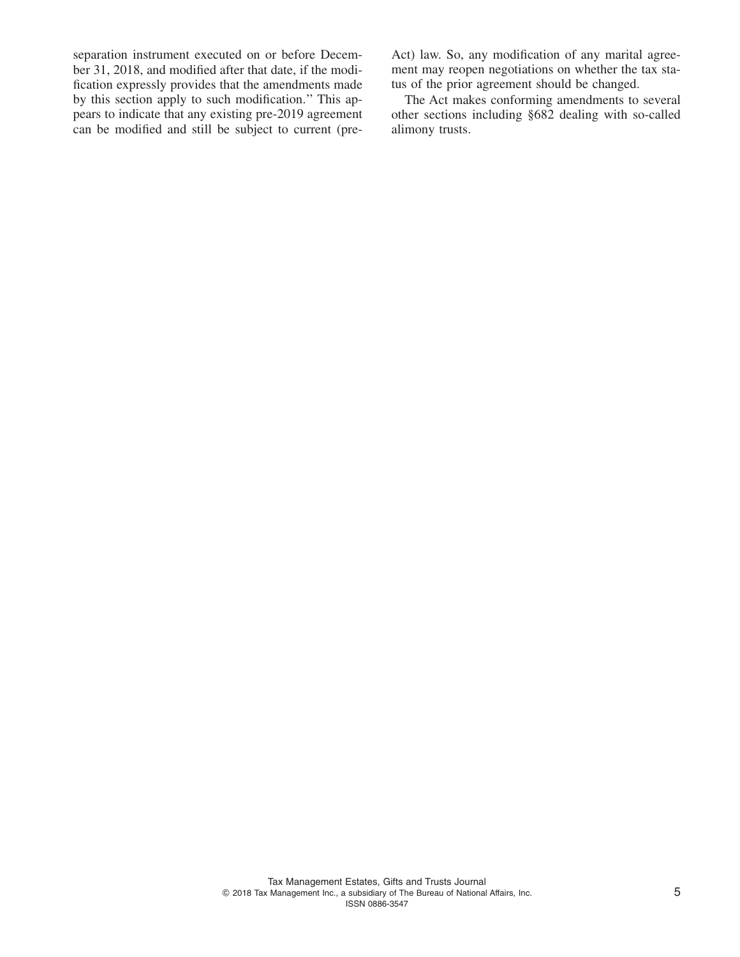separation instrument executed on or before December 31, 2018, and modified after that date, if the modification expressly provides that the amendments made by this section apply to such modification.'' This appears to indicate that any existing pre-2019 agreement can be modified and still be subject to current (preAct) law. So, any modification of any marital agreement may reopen negotiations on whether the tax status of the prior agreement should be changed.

The Act makes conforming amendments to several other sections including §682 dealing with so-called alimony trusts.